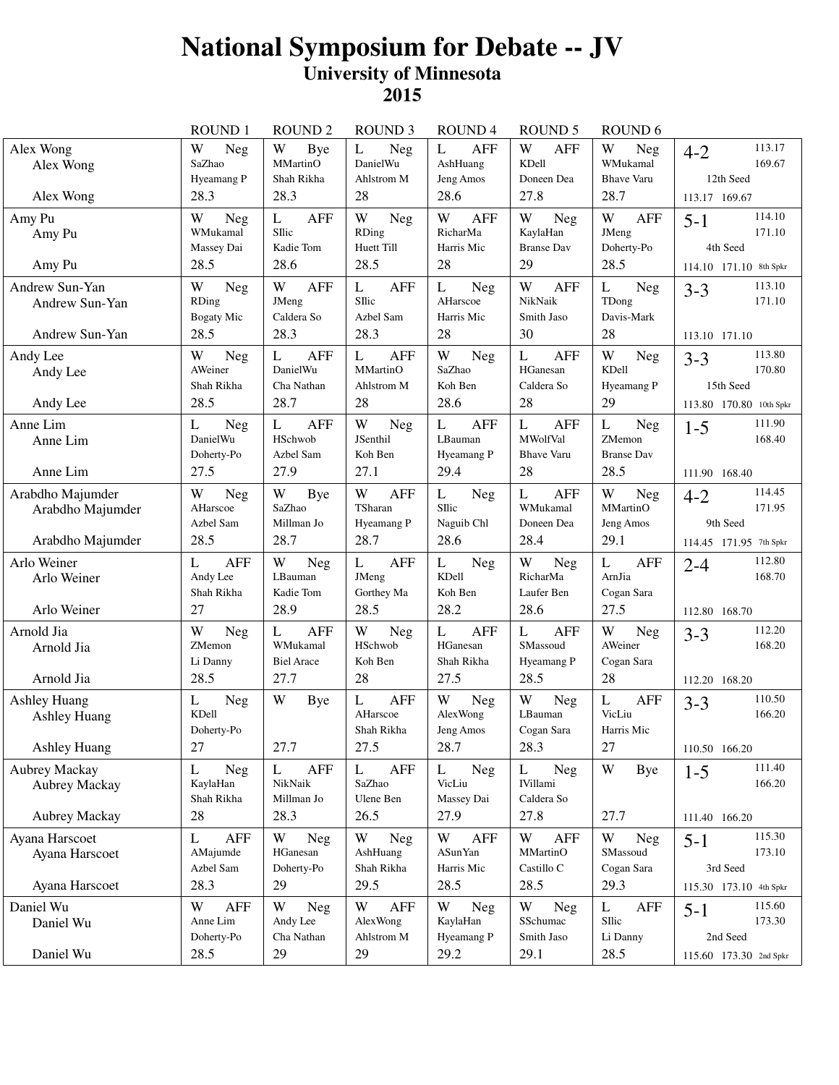## **National Symposium for Debate -- JV University of Minnesota 2015**

|                                                                   | <b>ROUND1</b>                                    | <b>ROUND2</b>                                            | <b>ROUND 3</b>                                               | ROUND <sub>4</sub>                                          | <b>ROUND 5</b>                                                           | ROUND <sub>6</sub>                                      |                                                                     |
|-------------------------------------------------------------------|--------------------------------------------------|----------------------------------------------------------|--------------------------------------------------------------|-------------------------------------------------------------|--------------------------------------------------------------------------|---------------------------------------------------------|---------------------------------------------------------------------|
| Alex Wong<br>Alex Wong<br>Alex Wong                               | W<br>Neg<br>SaZhao<br>Hyeamang P<br>28.3         | W<br>Bye<br>MMartinO<br>Shah Rikha<br>28.3               | Neg<br>L<br>DanielWu<br>Ahlstrom M<br>28                     | <b>AFF</b><br>L<br>AshHuang<br>Jeng Amos<br>28.6            | W<br><b>AFF</b><br>KDell<br>Doneen Dea<br>27.8                           | W<br>Neg<br>WMukamal<br><b>Bhave Varu</b><br>28.7       | 113.17<br>$4 - 2$<br>169.67<br>12th Seed<br>113.17 169.67           |
| Amy Pu<br>Amy Pu<br>Amy Pu                                        | W<br>Neg<br>WMukamal<br>Massey Dai<br>28.5       | <b>AFF</b><br>L<br>SIlic<br>Kadie Tom<br>28.6            | W<br><b>Neg</b><br><b>RDing</b><br>Huett Till<br>28.5        | <b>AFF</b><br>W<br>RicharMa<br>Harris Mic<br>28             | W<br>Neg<br>KaylaHan<br><b>Branse Dav</b><br>29                          | W<br><b>AFF</b><br>JMeng<br>Doherty-Po<br>28.5          | 114.10<br>$5 - 1$<br>171.10<br>4th Seed<br>114.10 171.10 8th Spkr   |
| Andrew Sun-Yan<br>Andrew Sun-Yan<br>Andrew Sun-Yan                | W<br>Neg<br>RDing<br><b>Bogaty Mic</b><br>28.5   | W<br><b>AFF</b><br>JMeng<br>Caldera So<br>28.3           | <b>AFF</b><br>L<br>SIlic<br>Azbel Sam<br>28.3                | $\mathbf{L}$<br>Neg<br>AHarscoe<br>Harris Mic<br>28         | W<br><b>AFF</b><br>NikNaik<br>Smith Jaso<br>30                           | L<br>Neg<br>TDong<br>Davis-Mark<br>28                   | 113.10<br>$3 - 3$<br>171.10<br>113.10 171.10                        |
| Andy Lee<br>Andy Lee<br>Andy Lee                                  | W<br><b>Neg</b><br>AWeiner<br>Shah Rikha<br>28.5 | L<br><b>AFF</b><br>DanielWu<br>Cha Nathan<br>28.7        | <b>AFF</b><br>L<br>MMartinO<br>Ahlstrom M<br>28              | W<br><b>Neg</b><br>SaZhao<br>Koh Ben<br>28.6                | L<br><b>AFF</b><br>HGanesan<br>Caldera So<br>28                          | W<br>Neg<br>KDell<br>Hyeamang P<br>29                   | 113.80<br>$3 - 3$<br>170.80<br>15th Seed<br>113.80 170.80 10th Spkr |
| Anne Lim<br>Anne Lim<br>Anne Lim                                  | Neg<br>L<br>DanielWu<br>Doherty-Po<br>27.5       | <b>AFF</b><br>L<br>HSchwob<br>Azbel Sam<br>27.9          | W<br><b>Neg</b><br>JSenthil<br>Koh Ben<br>27.1               | $\mathbf{L}$<br><b>AFF</b><br>LBauman<br>Hyeamang P<br>29.4 | $\mathbf{L}$<br><b>AFF</b><br><b>MWolfVal</b><br><b>Bhave Varu</b><br>28 | L<br><b>Neg</b><br>ZMemon<br><b>Branse Dav</b><br>28.5  | 111.90<br>$1 - 5$<br>168.40<br>111.90 168.40                        |
| Arabdho Majumder<br>Arabdho Majumder<br>Arabdho Majumder          | W<br><b>Neg</b><br>AHarscoe<br>Azbel Sam<br>28.5 | W<br>Bye<br>SaZhao<br>Millman Jo<br>28.7                 | W<br><b>AFF</b><br>TSharan<br>Hyeamang P<br>28.7             | L<br><b>Neg</b><br>SIlic<br>Naguib Chl<br>28.6              | $\mathbf{L}$<br>AFF<br>WMukamal<br>Doneen Dea<br>28.4                    | W<br>Neg<br>MMartinO<br>Jeng Amos<br>29.1               | 114.45<br>$4 - 2$<br>171.95<br>9th Seed<br>114.45 171.95 7th Spkr   |
| Arlo Weiner<br>Arlo Weiner<br>Arlo Weiner                         | <b>AFF</b><br>L<br>Andy Lee<br>Shah Rikha<br>27  | W<br>Neg<br>LBauman<br>Kadie Tom<br>28.9                 | <b>AFF</b><br>L<br>JMeng<br>Gorthey Ma<br>28.5               | L<br>Neg<br>KDell<br>Koh Ben<br>28.2                        | W<br>Neg<br>RicharMa<br>Laufer Ben<br>28.6                               | L<br><b>AFF</b><br>ArnJia<br>Cogan Sara<br>27.5         | 112.80<br>$2 - 4$<br>168.70<br>112.80 168.70                        |
| Arnold Jia<br>Arnold Jia<br>Arnold Jia                            | W<br>Neg<br>ZMemon<br>Li Danny<br>28.5           | <b>AFF</b><br>L<br>WMukamal<br><b>Biel Arace</b><br>27.7 | W<br>Neg<br>HSchwob<br>Koh Ben<br>28                         | L<br><b>AFF</b><br>HGanesan<br>Shah Rikha<br>27.5           | L<br><b>AFF</b><br>SMassoud<br>Hyeamang P<br>28.5                        | W<br><b>Neg</b><br>AWeiner<br>Cogan Sara<br>28          | 112.20<br>$3 - 3$<br>168.20<br>112.20 168.20                        |
| <b>Ashley Huang</b><br><b>Ashley Huang</b><br><b>Ashley Huang</b> | L<br><b>Neg</b><br>KDell<br>Doherty-Po<br>27     | W<br><b>Bye</b><br>27.7                                  | $\mathbf{L}$<br><b>AFF</b><br>AHarscoe<br>Shah Rikha<br>27.5 | W<br><b>Neg</b><br>AlexWong<br>Jeng Amos<br>28.7            | W<br>Neg<br>LBauman<br>Cogan Sara<br>28.3                                | $\mathbf L$<br><b>AFF</b><br>VicLiu<br>Harris Mic<br>27 | 110.50<br>$3 - 3$<br>166.20<br>110.50 166.20                        |
| Aubrey Mackay<br>Aubrey Mackay<br>Aubrey Mackay                   | L<br><b>Neg</b><br>KaylaHan<br>Shah Rikha<br>28  | L<br><b>AFF</b><br>NikNaik<br>Millman Jo<br>28.3         | <b>AFF</b><br>L<br>SaZhao<br>Ulene Ben<br>26.5               | L<br><b>Neg</b><br>VicLiu<br>Massey Dai<br>27.9             | L<br>Neg<br><b>IVillami</b><br>Caldera So<br>27.8                        | W<br><b>Bye</b><br>27.7                                 | 111.40<br>$1 - 5$<br>166.20<br>111.40 166.20                        |
| Ayana Harscoet<br>Ayana Harscoet<br>Ayana Harscoet                | <b>AFF</b><br>L<br>AMajumde<br>Azbel Sam<br>28.3 | W<br>Neg<br>HGanesan<br>Doherty-Po<br>29                 | W<br>Neg<br>AshHuang<br>Shah Rikha<br>29.5                   | W<br><b>AFF</b><br><b>ASunYan</b><br>Harris Mic<br>28.5     | W<br><b>AFF</b><br>MMartinO<br>Castillo C<br>28.5                        | W<br>Neg<br>SMassoud<br>Cogan Sara<br>29.3              | 115.30<br>$5 - 1$<br>173.10<br>3rd Seed<br>115.30 173.10 4th Spkr   |
| Daniel Wu<br>Daniel Wu<br>Daniel Wu                               | AFF<br>W<br>Anne Lim<br>Doherty-Po<br>28.5       | W<br>Neg<br>Andy Lee<br>Cha Nathan<br>29                 | <b>AFF</b><br>W<br>AlexWong<br>Ahlstrom M<br>29              | W<br><b>Neg</b><br>KaylaHan<br>Hyeamang P<br>29.2           | W<br><b>Neg</b><br>SSchumac<br>Smith Jaso<br>29.1                        | L<br>AFF<br>SIlic<br>Li Danny<br>28.5                   | 115.60<br>$5 - 1$<br>173.30<br>2nd Seed<br>115.60 173.30 2nd Spkr   |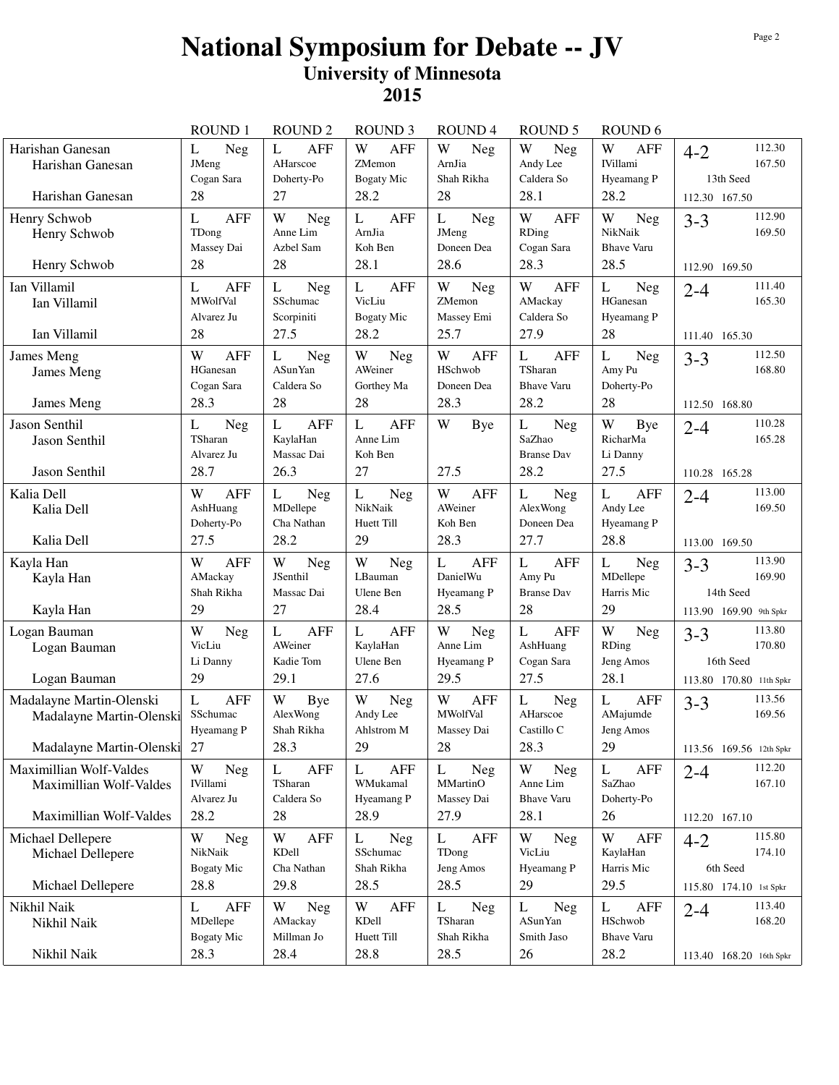## **National Symposium for Debate -- JV University of Minnesota 2015**

|                                                                                  | <b>ROUND1</b>                                                | <b>ROUND 2</b>                                             | <b>ROUND 3</b>                                         | <b>ROUND4</b>                                                | <b>ROUND 5</b>                                          | ROUND <sub>6</sub>                                       |                                                                                    |
|----------------------------------------------------------------------------------|--------------------------------------------------------------|------------------------------------------------------------|--------------------------------------------------------|--------------------------------------------------------------|---------------------------------------------------------|----------------------------------------------------------|------------------------------------------------------------------------------------|
| Harishan Ganesan<br>Harishan Ganesan                                             | L<br>Neg<br>JMeng<br>Cogan Sara                              | L<br><b>AFF</b><br>AHarscoe<br>Doherty-Po                  | W<br><b>AFF</b><br>ZMemon<br><b>Bogaty Mic</b>         | W<br>Neg<br>ArnJia<br>Shah Rikha                             | W<br><b>Neg</b><br>Andy Lee<br>Caldera So               | W<br><b>AFF</b><br><b>IVillami</b><br>Hyeamang P         | 112.30<br>$4 - 2$<br>167.50<br>13th Seed                                           |
| Harishan Ganesan                                                                 | 28                                                           | 27                                                         | 28.2                                                   | 28                                                           | 28.1                                                    | 28.2                                                     | 112.30 167.50                                                                      |
| Henry Schwob<br>Henry Schwob<br>Henry Schwob                                     | L<br><b>AFF</b><br>TDong<br>Massey Dai<br>28                 | W<br>Neg<br>Anne Lim<br>Azbel Sam<br>28                    | <b>AFF</b><br>L<br>ArnJia<br>Koh Ben<br>28.1           | L<br><b>Neg</b><br>JMeng<br>Doneen Dea<br>28.6               | W<br>AFF<br>RDing<br>Cogan Sara<br>28.3                 | W<br>Neg<br>NikNaik<br><b>Bhave Varu</b><br>28.5         | 112.90<br>$3 - 3$<br>169.50<br>112.90 169.50                                       |
| Ian Villamil<br>Ian Villamil                                                     | <b>AFF</b><br>L<br>MWolfVal<br>Alvarez Ju<br>28              | $\mathbf{L}$<br>Neg<br>SSchumac<br>Scorpiniti<br>27.5      | L<br><b>AFF</b><br>VicLiu<br><b>Bogaty Mic</b><br>28.2 | W<br><b>Neg</b><br>ZMemon<br>Massey Emi<br>25.7              | W<br>AFF<br>AMackay<br>Caldera So<br>27.9               | $\mathbf L$<br>Neg<br>HGanesan<br>Hyeamang P<br>28       | 111.40<br>$2 - 4$<br>165.30                                                        |
| Ian Villamil<br>James Meng<br>James Meng<br>James Meng                           | W<br><b>AFF</b><br>HGanesan<br>Cogan Sara<br>28.3            | L<br><b>Neg</b><br><b>ASunYan</b><br>Caldera So<br>28      | W<br>Neg<br>AWeiner<br>Gorthey Ma<br>28                | W<br><b>AFF</b><br>HSchwob<br>Doneen Dea<br>28.3             | <b>AFF</b><br>L<br>TSharan<br><b>Bhave Varu</b><br>28.2 | L<br>Neg<br>Amy Pu<br>Doherty-Po<br>28                   | 111.40 165.30<br>112.50<br>$3 - 3$<br>168.80<br>112.50 168.80                      |
| Jason Senthil<br>Jason Senthil<br>Jason Senthil                                  | L<br><b>Neg</b><br>TSharan<br>Alvarez Ju<br>28.7             | L<br><b>AFF</b><br>KaylaHan<br>Massac Dai<br>26.3          | <b>AFF</b><br>L<br>Anne Lim<br>Koh Ben<br>27           | W<br><b>Bye</b><br>27.5                                      | L<br>Neg<br>SaZhao<br><b>Branse Dav</b><br>28.2         | W<br>Bye<br>RicharMa<br>Li Danny<br>27.5                 | 110.28<br>$2 - 4$<br>165.28<br>110.28 165.28                                       |
| Kalia Dell<br>Kalia Dell<br>Kalia Dell                                           | W<br><b>AFF</b><br>AshHuang<br>Doherty-Po<br>27.5            | L<br>Neg<br>MDellepe<br>Cha Nathan<br>28.2                 | L<br>Neg<br>NikNaik<br>Huett Till<br>29                | W<br>AFF<br>AWeiner<br>Koh Ben<br>28.3                       | L<br>Neg<br>AlexWong<br>Doneen Dea<br>27.7              | L<br><b>AFF</b><br>Andy Lee<br>Hyeamang P<br>28.8        | 113.00<br>$2 - 4$<br>169.50<br>113.00 169.50                                       |
| Kayla Han<br>Kayla Han<br>Kayla Han                                              | <b>AFF</b><br>W<br>AMackay<br>Shah Rikha<br>29               | W<br><b>Neg</b><br>JSenthil<br>Massac Dai<br>27            | W<br>Neg<br>LBauman<br>Ulene Ben<br>28.4               | $\mathbf{L}$<br><b>AFF</b><br>DanielWu<br>Hyeamang P<br>28.5 | <b>AFF</b><br>L<br>Amy Pu<br><b>Branse Dav</b><br>28    | L<br>Neg<br>MDellepe<br>Harris Mic<br>29                 | 113.90<br>$3 - 3$<br>169.90<br>14th Seed<br>113.90 169.90 9th Spkr                 |
| Logan Bauman<br>Logan Bauman<br>Logan Bauman                                     | W<br>Neg<br>VicLiu<br>Li Danny<br>29                         | $\mathbf{L}$<br><b>AFF</b><br>AWeiner<br>Kadie Tom<br>29.1 | <b>AFF</b><br>L<br>KaylaHan<br>Ulene Ben<br>27.6       | W<br>Neg<br>Anne Lim<br>Hyeamang P<br>29.5                   | L<br><b>AFF</b><br>AshHuang<br>Cogan Sara<br>27.5       | W<br><b>Neg</b><br>RDing<br>Jeng Amos<br>28.1            | 113.80<br>$3 - 3$<br>170.80<br>16th Seed<br>113.80 170.80 11th Spkr                |
| Madalayne Martin-Olenski<br>Madalayne Martin-Olenski<br>Madalayne Martin-Olenski | $\overline{L}$<br><b>AFF</b><br>SSchumac<br>Hyeamang P<br>27 | W<br>Bye<br>AlexWong<br>Shah Rikha<br>28.3                 | W<br>Neg<br>Andy Lee<br>Ahlstrom M<br>29               | W<br><b>AFF</b><br><b>MWolfVal</b><br>Massey Dai<br>28       | L<br>Neg<br>AHarscoe<br>Castillo C<br>28.3              | $\mathbf L$<br><b>AFF</b><br>AMajumde<br>Jeng Amos<br>29 | 113.56<br>$3 - 3$<br>169.56<br>113.56 169.56 12th Spkr                             |
| Maximillian Wolf-Valdes<br>Maximillian Wolf-Valdes<br>Maximillian Wolf-Valdes    | W<br><b>Neg</b><br><b>IVillami</b><br>Alvarez Ju             | L<br><b>AFF</b><br>TSharan<br>Caldera So<br>28             | <b>AFF</b><br>L<br>WMukamal<br>Hyeamang P<br>28.9      | L<br>Neg<br>MMartinO<br>Massey Dai<br>27.9                   | W<br>Neg<br>Anne Lim<br><b>Bhave Varu</b>               | L<br><b>AFF</b><br>SaZhao<br>Doherty-Po                  | 112.20<br>$2 - 4$<br>167.10                                                        |
| Michael Dellepere<br>Michael Dellepere<br>Michael Dellepere                      | 28.2<br>W<br>Neg<br>NikNaik<br><b>Bogaty Mic</b><br>28.8     | W<br><b>AFF</b><br>KDell<br>Cha Nathan<br>29.8             | L<br>Neg<br>SSchumac<br>Shah Rikha<br>28.5             | L<br>AFF<br>TDong<br>Jeng Amos<br>28.5                       | 28.1<br>W<br>Neg<br>VicLiu<br>Hyeamang P<br>29          | 26<br>W<br><b>AFF</b><br>KaylaHan<br>Harris Mic<br>29.5  | 112.20 167.10<br>115.80<br>$4 - 2$<br>174.10<br>6th Seed<br>115.80 174.10 1st Spkr |
| Nikhil Naik<br>Nikhil Naik                                                       | <b>AFF</b><br>L<br>MDellepe<br><b>Bogaty Mic</b>             | W<br><b>Neg</b><br>AMackay<br>Millman Jo                   | W<br><b>AFF</b><br>KDell<br>Huett Till                 | L<br><b>Neg</b><br>TSharan<br>Shah Rikha                     | Neg<br>L<br><b>ASunYan</b><br>Smith Jaso                | L<br>AFF<br>HSchwob<br><b>Bhave Varu</b>                 | 113.40<br>$2 - 4$<br>168.20                                                        |
| Nikhil Naik                                                                      | 28.3                                                         | 28.4                                                       | 28.8                                                   | 28.5                                                         | 26                                                      | 28.2                                                     | 113.40 168.20 16th Spkr                                                            |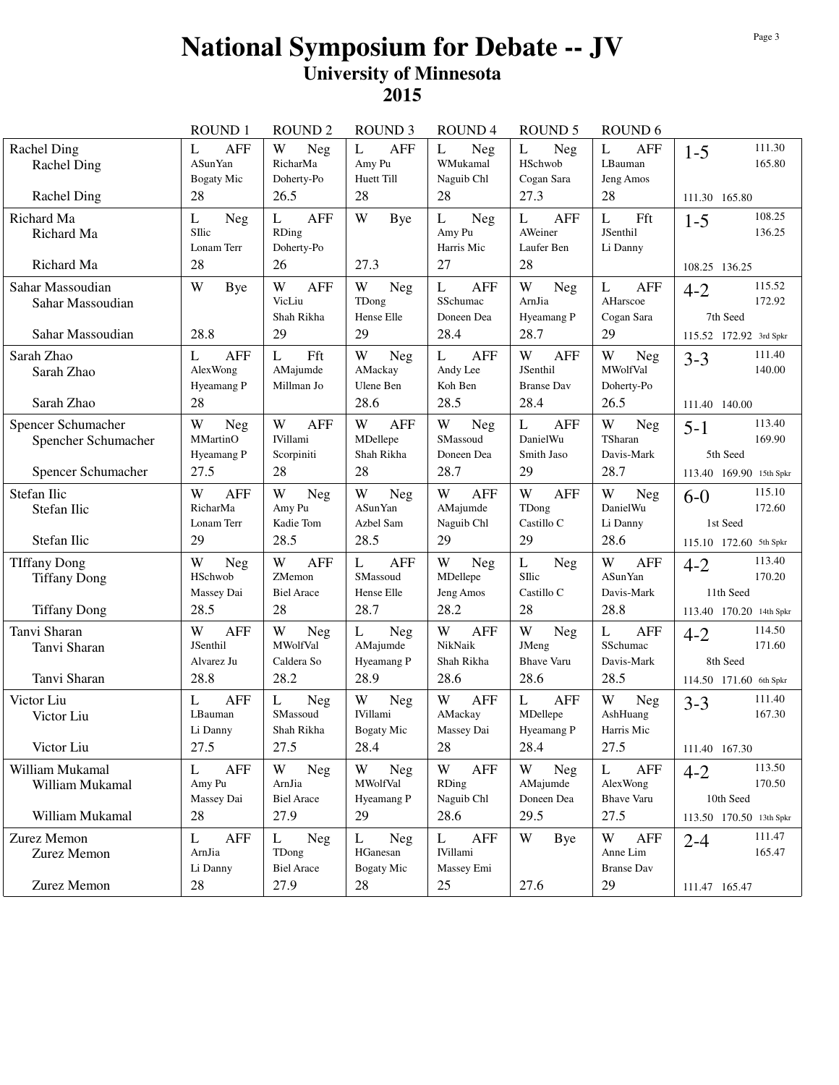## **National Symposium for Debate -- JV University of Minnesota 2015**

|                                                                   | <b>ROUND1</b>                                            | <b>ROUND 2</b>                                         | <b>ROUND 3</b>                                           | <b>ROUND4</b>                                     | <b>ROUND 5</b>                                           | ROUND <sub>6</sub>                                         |                                                                     |
|-------------------------------------------------------------------|----------------------------------------------------------|--------------------------------------------------------|----------------------------------------------------------|---------------------------------------------------|----------------------------------------------------------|------------------------------------------------------------|---------------------------------------------------------------------|
| Rachel Ding<br><b>Rachel Ding</b><br><b>Rachel Ding</b>           | L<br><b>AFF</b><br><b>ASunYan</b><br>Bogaty Mic<br>28    | W<br>Neg<br>RicharMa<br>Doherty-Po<br>26.5             | $\mathbf{L}$<br><b>AFF</b><br>Amy Pu<br>Huett Till<br>28 | L<br>Neg<br>WMukamal<br>Naguib Chl<br>28          | L<br>Neg<br>HSchwob<br>Cogan Sara<br>27.3                | L<br><b>AFF</b><br>LBauman<br>Jeng Amos<br>28              | 111.30<br>$1 - 5$<br>165.80<br>111.30 165.80                        |
| Richard Ma<br>Richard Ma                                          | L<br>Neg<br>SIlic<br>Lonam Terr                          | <b>AFF</b><br>L<br>RDing<br>Doherty-Po                 | W<br>Bye                                                 | L<br>Neg<br>Amy Pu<br>Harris Mic                  | <b>AFF</b><br>L<br>AWeiner<br>Laufer Ben                 | L<br>Fft<br>JSenthil<br>Li Danny                           | 108.25<br>$1 - 5$<br>136.25                                         |
| Richard Ma                                                        | 28                                                       | 26                                                     | 27.3                                                     | 27                                                | 28                                                       |                                                            | 108.25 136.25                                                       |
| Sahar Massoudian<br>Sahar Massoudian<br>Sahar Massoudian          | W<br>Bye<br>28.8                                         | W<br><b>AFF</b><br>VicLiu<br>Shah Rikha<br>29          | W<br>Neg<br>TDong<br>Hense Elle<br>29                    | L<br><b>AFF</b><br>SSchumac<br>Doneen Dea<br>28.4 | W<br>Neg<br>ArnJia<br>Hyeamang P<br>28.7                 | $\mathbf{L}$<br><b>AFF</b><br>AHarscoe<br>Cogan Sara<br>29 | 115.52<br>$4 - 2$<br>172.92<br>7th Seed<br>115.52 172.92 3rd Spkr   |
| Sarah Zhao<br>Sarah Zhao<br>Sarah Zhao                            | <b>AFF</b><br>L<br>AlexWong<br>Hyeamang P<br>28          | Fft<br>L<br>AMajumde<br>Millman Jo                     | W<br>Neg<br>AMackay<br>Ulene Ben<br>28.6                 | L<br><b>AFF</b><br>Andy Lee<br>Koh Ben<br>28.5    | W<br><b>AFF</b><br>JSenthil<br><b>Branse Dav</b><br>28.4 | W<br>Neg<br><b>MWolfVal</b><br>Doherty-Po<br>26.5          | 111.40<br>$3 - 3$<br>140.00<br>111.40 140.00                        |
| Spencer Schumacher<br>Spencher Schumacher<br>Spencer Schumacher   | W<br><b>Neg</b><br><b>MMartinO</b><br>Hyeamang P<br>27.5 | W<br><b>AFF</b><br><b>IVillami</b><br>Scorpiniti<br>28 | W<br><b>AFF</b><br>MDellepe<br>Shah Rikha<br>28          | W<br>Neg<br>SMassoud<br>Doneen Dea<br>28.7        | L<br><b>AFF</b><br>DanielWu<br>Smith Jaso<br>29          | W<br>Neg<br>TSharan<br>Davis-Mark<br>28.7                  | 113.40<br>$5 - 1$<br>169.90<br>5th Seed<br>113.40 169.90 15th Spkr  |
| Stefan Ilic<br>Stefan Ilic<br>Stefan Ilic                         | W<br>AFF<br>RicharMa<br>Lonam Terr<br>29                 | W<br>Neg<br>Amy Pu<br>Kadie Tom<br>28.5                | W<br>Neg<br><b>ASunYan</b><br>Azbel Sam<br>28.5          | W<br><b>AFF</b><br>AMajumde<br>Naguib Chl<br>29   | W<br><b>AFF</b><br>TDong<br>Castillo C<br>29             | W<br>Neg<br>DanielWu<br>Li Danny<br>28.6                   | 115.10<br>$6-0$<br>172.60<br>1st Seed<br>115.10 172.60 5th Spkr     |
| <b>TIffany Dong</b><br><b>Tiffany Dong</b><br><b>Tiffany Dong</b> | W<br><b>Neg</b><br>HSchwob<br>Massey Dai<br>28.5         | <b>AFF</b><br>W<br>ZMemon<br><b>Biel Arace</b><br>28   | <b>AFF</b><br>L<br>SMassoud<br>Hense Elle<br>28.7        | W<br>Neg<br>MDellepe<br>Jeng Amos<br>28.2         | L<br>Neg<br>SIlic<br>Castillo C<br>28                    | W<br><b>AFF</b><br><b>ASunYan</b><br>Davis-Mark<br>28.8    | 113.40<br>$4 - 2$<br>170.20<br>11th Seed<br>113.40 170.20 14th Spkr |
| Tanvi Sharan<br>Tanvi Sharan<br>Tanvi Sharan                      | W<br><b>AFF</b><br>JSenthil<br>Alvarez Ju<br>28.8        | W<br>Neg<br><b>MWolfVal</b><br>Caldera So<br>28.2      | L<br>Neg<br>AMajumde<br>Hyeamang P<br>28.9               | W<br><b>AFF</b><br>NikNaik<br>Shah Rikha<br>28.6  | W<br>Neg<br>JMeng<br><b>Bhave Varu</b><br>28.6           | L<br><b>AFF</b><br>SSchumac<br>Davis-Mark<br>28.5          | 114.50<br>$4 - 2$<br>171.60<br>8th Seed<br>114.50 171.60 6th Spkr   |
| Victor Liu<br>Victor Liu                                          | L<br><b>AFF</b><br>LBauman<br>Li Danny                   | $\mathbf L$<br><b>Neg</b><br>SMassoud<br>Shah Rikha    | W<br><b>Neg</b><br><b>IVillami</b><br><b>Bogaty Mic</b>  | W<br><b>AFF</b><br>AMackay<br>Massey Dai          | $\mathbf L$<br><b>AFF</b><br>MDellepe<br>Hyeamang P      | W<br><b>Neg</b><br>AshHuang<br>Harris Mic                  | 111.40<br>$3 - 3$<br>167.30                                         |
| Victor Liu                                                        | 27.5                                                     | 27.5                                                   | 28.4                                                     | 28                                                | 28.4                                                     | 27.5                                                       | 111.40 167.30                                                       |
| William Mukamal<br>William Mukamal                                | <b>AFF</b><br>L<br>Amy Pu<br>Massey Dai                  | W<br>Neg<br>ArnJia<br><b>Biel Arace</b>                | W<br>Neg<br>MWolfVal<br>Hyeamang P                       | W<br><b>AFF</b><br><b>RDing</b><br>Naguib Chl     | W<br>Neg<br>AMajumde<br>Doneen Dea                       | L<br><b>AFF</b><br>AlexWong<br><b>Bhave Varu</b>           | 113.50<br>$4 - 2$<br>170.50<br>10th Seed                            |
| William Mukamal                                                   | 28                                                       | 27.9                                                   | 29                                                       | 28.6                                              | 29.5                                                     | 27.5                                                       | 113.50 170.50 13th Spkr                                             |
| Zurez Memon<br>Zurez Memon                                        | AFF<br>L<br>ArnJia<br>Li Danny                           | L<br>Neg<br>TDong<br><b>Biel Arace</b>                 | L<br>Neg<br>HGanesan<br><b>Bogaty Mic</b>                | L<br>AFF<br><b>IVillami</b><br>Massey Emi         | W<br>Bye                                                 | W<br><b>AFF</b><br>Anne Lim<br><b>Branse Dav</b>           | 111.47<br>$2 - 4$<br>165.47                                         |
| Zurez Memon                                                       | 28                                                       | 27.9                                                   | 28                                                       | 25                                                | 27.6                                                     | 29                                                         | 111.47 165.47                                                       |